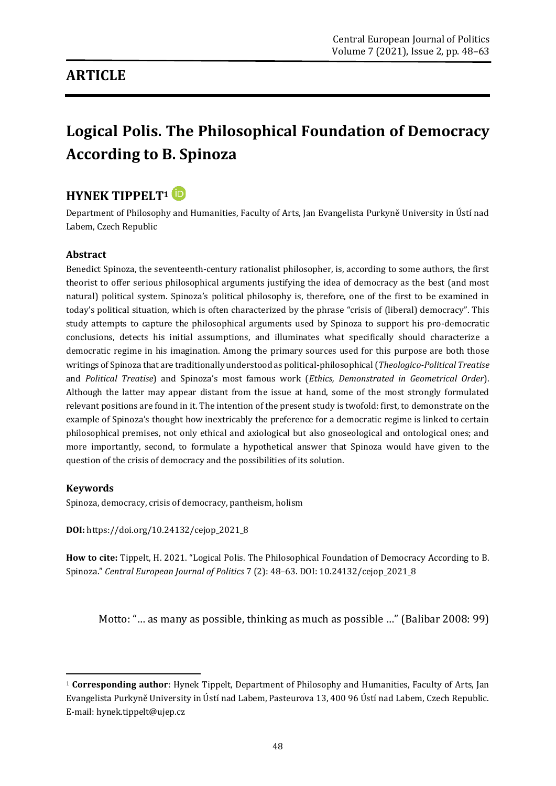## **ARTICLE**

# **Logical Polis. The Philosophical Foundation of Democracy According to B. Spinoza**

## **HYNEK TIPPELT<sup>1</sup>**

Department of Philosophy and Humanities, Faculty of Arts, Jan Evangelista Purkyně University in Ústí nad Labem, Czech Republic

#### **Abstract**

Benedict Spinoza, the seventeenth-century rationalist philosopher, is, according to some authors, the first theorist to offer serious philosophical arguments justifying the idea of democracy as the best (and most natural) political system. Spinoza's political philosophy is, therefore, one of the first to be examined in today's political situation, which is often characterized by the phrase "crisis of (liberal) democracy". This study attempts to capture the philosophical arguments used by Spinoza to support his pro-democratic conclusions, detects his initial assumptions, and illuminates what specifically should characterize a democratic regime in his imagination. Among the primary sources used for this purpose are both those writings of Spinoza that are traditionally understood as political-philosophical (*Theologico-Political Treatise*  and *Political Treatise*) and Spinoza's most famous work (*Ethics, Demonstrated in Geometrical Order*). Although the latter may appear distant from the issue at hand, some of the most strongly formulated relevant positions are found in it. The intention of the present study is twofold: first, to demonstrate on the example of Spinoza's thought how inextricably the preference for a democratic regime is linked to certain philosophical premises, not only ethical and axiological but also gnoseological and ontological ones; and more importantly, second, to formulate a hypothetical answer that Spinoza would have given to the question of the crisis of democracy and the possibilities of its solution.

#### **Keywords**

**.** 

Spinoza, democracy, crisis of democracy, pantheism, holism

**DOI:** [https://doi.org/10.24132/c](https://doi.org/10.24132/?fbclid=IwAR3FkqEiC5TEXLTbL5NNy6GcEElvMDqetW3csS9Beo10se4egOWiQ6llCvs)ejop\_2021\_8

**How to cite:** Tippelt, H. 2021. "Logical Polis. The Philosophical Foundation of Democracy According to B. Spinoza." *Central European Journal of Politics* 7 (2): 48–63. DOI: 10.24132/cejop\_2021\_8

Motto: "… as many as possible, thinking as much as possible …" (Balibar 2008: 99)

<sup>1</sup> **Corresponding author**: Hynek Tippelt, Department of Philosophy and Humanities, Faculty of Arts, Jan Evangelista Purkyně University in Ústí nad Labem, Pasteurova 13, 400 96 Ústí nad Labem, Czech Republic. E-mail: hynek.tippelt@ujep.cz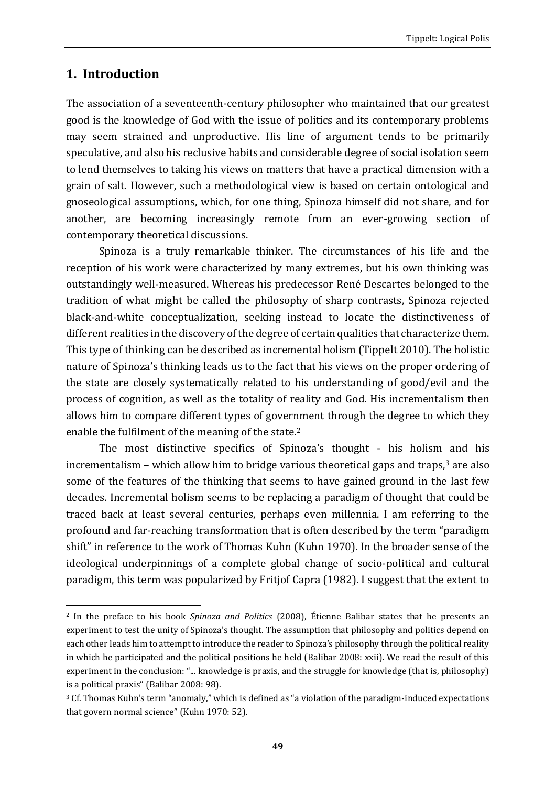#### **1. Introduction**

The association of a seventeenth-century philosopher who maintained that our greatest good is the knowledge of God with the issue of politics and its contemporary problems may seem strained and unproductive. His line of argument tends to be primarily speculative, and also his reclusive habits and considerable degree of social isolation seem to lend themselves to taking his views on matters that have a practical dimension with a grain of salt. However, such a methodological view is based on certain ontological and gnoseological assumptions, which, for one thing, Spinoza himself did not share, and for another, are becoming increasingly remote from an ever-growing section of contemporary theoretical discussions.

Spinoza is a truly remarkable thinker. The circumstances of his life and the reception of his work were characterized by many extremes, but his own thinking was outstandingly well-measured. Whereas his predecessor René Descartes belonged to the tradition of what might be called the philosophy of sharp contrasts, Spinoza rejected black-and-white conceptualization, seeking instead to locate the distinctiveness of different realities in the discovery of the degree of certain qualities that characterize them. This type of thinking can be described as incremental holism (Tippelt 2010). The holistic nature of Spinoza's thinking leads us to the fact that his views on the proper ordering of the state are closely systematically related to his understanding of good/evil and the process of cognition, as well as the totality of reality and God. His incrementalism then allows him to compare different types of government through the degree to which they enable the fulfilment of the meaning of the state.<sup>2</sup>

The most distinctive specifics of Spinoza's thought - his holism and his incrementalism – which allow him to bridge various theoretical gaps and traps, $3$  are also some of the features of the thinking that seems to have gained ground in the last few decades. Incremental holism seems to be replacing a paradigm of thought that could be traced back at least several centuries, perhaps even millennia. I am referring to the profound and far-reaching transformation that is often described by the term "paradigm shift" in reference to the work of Thomas Kuhn (Kuhn 1970). In the broader sense of the ideological underpinnings of a complete global change of socio-political and cultural paradigm, this term was popularized by Fritjof Capra (1982). I suggest that the extent to

<sup>1</sup> <sup>2</sup> In the preface to his book *Spinoza and Politics* (2008), Étienne Balibar states that he presents an experiment to test the unity of Spinoza's thought. The assumption that philosophy and politics depend on each other leads him to attempt to introduce the reader to Spinoza's philosophy through the political reality in which he participated and the political positions he held (Balibar 2008: xxii). We read the result of this experiment in the conclusion: "... knowledge is praxis, and the struggle for knowledge (that is, philosophy) is a political praxis" (Balibar 2008: 98).

<sup>&</sup>lt;sup>3</sup> Cf. Thomas Kuhn's term "anomaly," which is defined as "a violation of the paradigm-induced expectations that govern normal science" (Kuhn 1970: 52).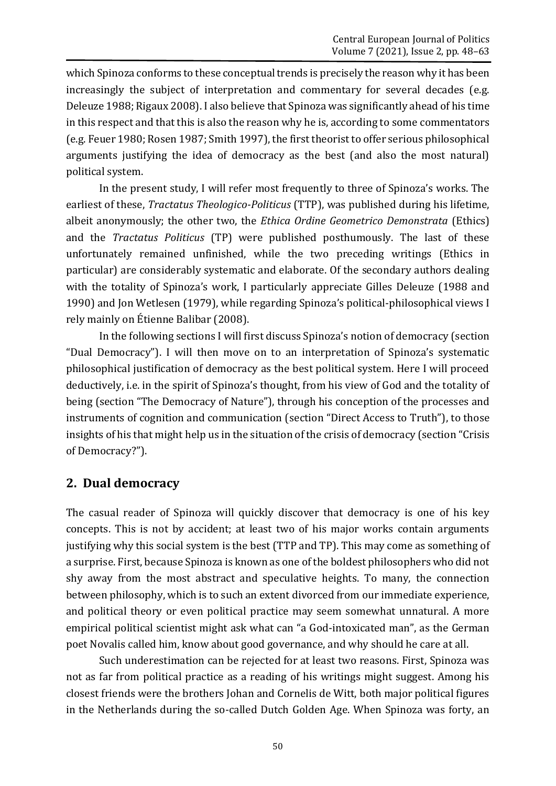which Spinoza conforms to these conceptual trends is precisely the reason why it has been increasingly the subject of interpretation and commentary for several decades (e.g. Deleuze 1988; Rigaux 2008). I also believe that Spinoza was significantly ahead of his time in this respect and that this is also the reason why he is, according to some commentators (e.g. Feuer 1980; Rosen 1987;Smith 1997), the first theorist to offer serious philosophical arguments justifying the idea of democracy as the best (and also the most natural) political system.

In the present study, I will refer most frequently to three of Spinoza's works. The earliest of these, *Tractatus Theologico-Politicus* (TTP), was published during his lifetime, albeit anonymously; the other two, the *Ethica Ordine Geometrico Demonstrata* (Ethics) and the *Tractatus Politicus* (TP) were published posthumously. The last of these unfortunately remained unfinished, while the two preceding writings (Ethics in particular) are considerably systematic and elaborate. Of the secondary authors dealing with the totality of Spinoza's work, I particularly appreciate Gilles Deleuze (1988 and 1990) and Jon Wetlesen (1979), while regarding Spinoza's political-philosophical views I rely mainly on Étienne Balibar (2008).

In the following sections I will first discuss Spinoza's notion of democracy (section "Dual Democracy"). I will then move on to an interpretation of Spinoza's systematic philosophical justification of democracy as the best political system. Here I will proceed deductively, i.e. in the spirit of Spinoza's thought, from his view of God and the totality of being (section "The Democracy of Nature"), through his conception of the processes and instruments of cognition and communication (section "Direct Access to Truth"), to those insights of his that might help us in the situation of the crisis of democracy (section "Crisis of Democracy?").

#### **2. Dual democracy**

The casual reader of Spinoza will quickly discover that democracy is one of his key concepts. This is not by accident; at least two of his major works contain arguments justifying why this social system is the best (TTP and TP). This may come as something of a surprise. First, because Spinoza is known as one of the boldest philosophers who did not shy away from the most abstract and speculative heights. To many, the connection between philosophy, which is to such an extent divorced from our immediate experience, and political theory or even political practice may seem somewhat unnatural. A more empirical political scientist might ask what can "a God-intoxicated man", as the German poet Novalis called him, know about good governance, and why should he care at all.

Such underestimation can be rejected for at least two reasons. First, Spinoza was not as far from political practice as a reading of his writings might suggest. Among his closest friends were the brothers Johan and Cornelis de Witt, both major political figures in the Netherlands during the so-called Dutch Golden Age. When Spinoza was forty, an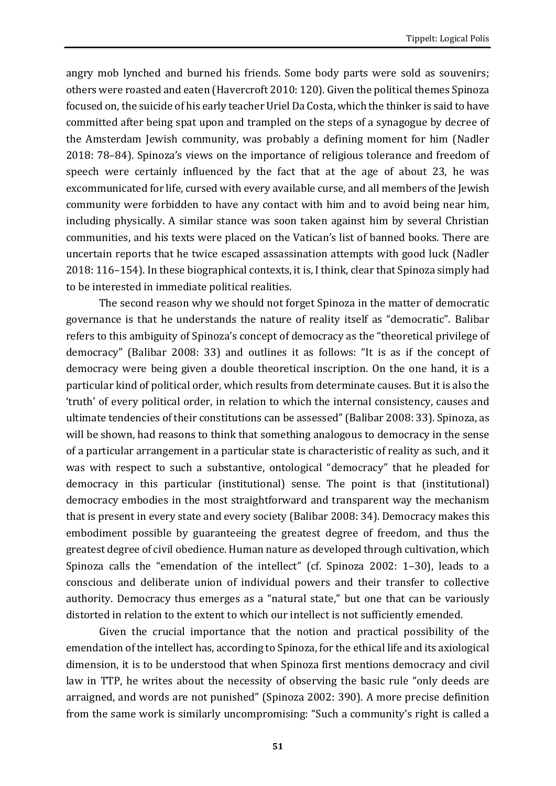angry mob lynched and burned his friends. Some body parts were sold as souvenirs; others were roasted and eaten (Havercroft 2010: 120). Given the political themes Spinoza focused on, the suicide of his early teacher Uriel Da Costa, which the thinker is said to have committed after being spat upon and trampled on the steps of a synagogue by decree of the Amsterdam Jewish community, was probably a defining moment for him (Nadler 2018: 78–84). Spinoza's views on the importance of religious tolerance and freedom of speech were certainly influenced by the fact that at the age of about 23, he was excommunicated for life, cursed with every available curse, and all members of the Jewish community were forbidden to have any contact with him and to avoid being near him, including physically. A similar stance was soon taken against him by several Christian communities, and his texts were placed on the Vatican's list of banned books. There are uncertain reports that he twice escaped assassination attempts with good luck (Nadler 2018: 116–154). In these biographical contexts, it is, I think, clear that Spinoza simply had to be interested in immediate political realities.

The second reason why we should not forget Spinoza in the matter of democratic governance is that he understands the nature of reality itself as "democratic". Balibar refers to this ambiguity of Spinoza's concept of democracy as the "theoretical privilege of democracy" (Balibar 2008: 33) and outlines it as follows: "It is as if the concept of democracy were being given a double theoretical inscription. On the one hand, it is a particular kind of political order, which results from determinate causes. But it is also the 'truth' of every political order, in relation to which the internal consistency, causes and ultimate tendencies of their constitutions can be assessed" (Balibar 2008: 33). Spinoza, as will be shown, had reasons to think that something analogous to democracy in the sense of a particular arrangement in a particular state is characteristic of reality as such, and it was with respect to such a substantive, ontological "democracy" that he pleaded for democracy in this particular (institutional) sense. The point is that (institutional) democracy embodies in the most straightforward and transparent way the mechanism that is present in every state and every society (Balibar 2008: 34). Democracy makes this embodiment possible by guaranteeing the greatest degree of freedom, and thus the greatest degree of civil obedience. Human nature as developed through cultivation, which Spinoza calls the "emendation of the intellect" (cf. Spinoza 2002: 1–30), leads to a conscious and deliberate union of individual powers and their transfer to collective authority. Democracy thus emerges as a "natural state," but one that can be variously distorted in relation to the extent to which our intellect is not sufficiently emended.

Given the crucial importance that the notion and practical possibility of the emendation of the intellect has, according to Spinoza, for the ethical life and its axiological dimension, it is to be understood that when Spinoza first mentions democracy and civil law in TTP, he writes about the necessity of observing the basic rule "only deeds are arraigned, and words are not punished" (Spinoza 2002: 390). A more precise definition from the same work is similarly uncompromising: "Such a community's right is called a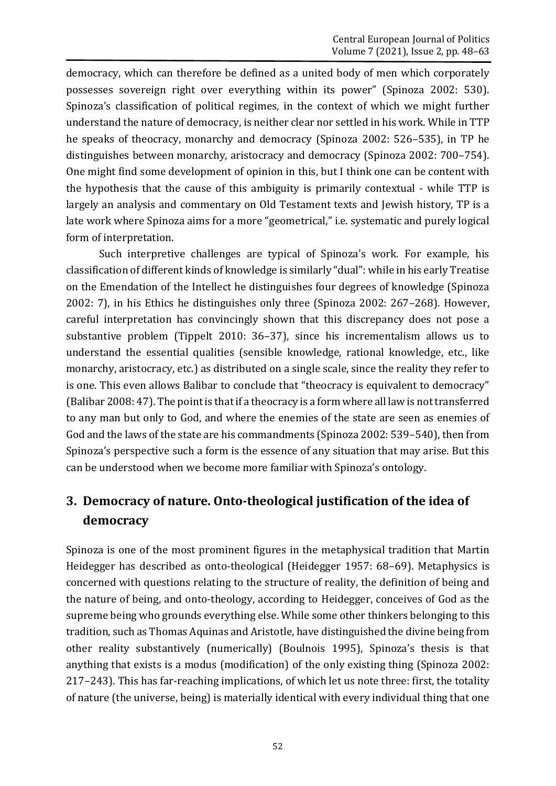democracy, which can therefore be defined as a united body of men which corporately possesses sovereign right over everything within its power" (Spinoza 2002: 530). Spinoza's classification of political regimes, in the context of which we might further understand the nature of democracy, is neither clear nor settled in his work. While in TTP he speaks of theocracy, monarchy and democracy (Spinoza 2002: 526–535), in TP he distinguishes between monarchy, aristocracy and democracy (Spinoza 2002: 700–754). One might find some development of opinion in this, but I think one can be content with the hypothesis that the cause of this ambiguity is primarily contextual - while TTP is largely an analysis and commentary on Old Testament texts and Jewish history, TP is a late work where Spinoza aims for a more "geometrical," i.e. systematic and purely logical form of interpretation.

Such interpretive challenges are typical of Spinoza's work. For example, his classification of different kinds of knowledge is similarly "dual": while in his early Treatise on the Emendation of the Intellect he distinguishes four degrees of knowledge (Spinoza 2002: 7), in his Ethics he distinguishes only three (Spinoza 2002: 267–268). However, careful interpretation has convincingly shown that this discrepancy does not pose a substantive problem (Tippelt 2010: 36–37), since his incrementalism allows us to understand the essential qualities (sensible knowledge, rational knowledge, etc., like monarchy, aristocracy, etc.) as distributed on a single scale, since the reality they refer to is one. This even allows Balibar to conclude that "theocracy is equivalent to democracy" (Balibar 2008: 47). The point is that if a theocracy is a form where all law is not transferred to any man but only to God, and where the enemies of the state are seen as enemies of God and the laws of the state are his commandments (Spinoza 2002: 539–540), then from Spinoza's perspective such a form is the essence of any situation that may arise. But this can be understood when we become more familiar with Spinoza's ontology.

# **3. Democracy of nature. Onto-theological justification of the idea of democracy**

Spinoza is one of the most prominent figures in the metaphysical tradition that Martin Heidegger has described as onto-theological (Heidegger 1957: 68–69). Metaphysics is concerned with questions relating to the structure of reality, the definition of being and the nature of being, and onto-theology, according to Heidegger, conceives of God as the supreme being who grounds everything else. While some other thinkers belonging to this tradition, such as Thomas Aquinas and Aristotle, have distinguished the divine being from other reality substantively (numerically) (Boulnois 1995), Spinoza's thesis is that anything that exists is a modus (modification) of the only existing thing (Spinoza 2002: 217–243). This has far-reaching implications, of which let us note three: first, the totality of nature (the universe, being) is materially identical with every individual thing that one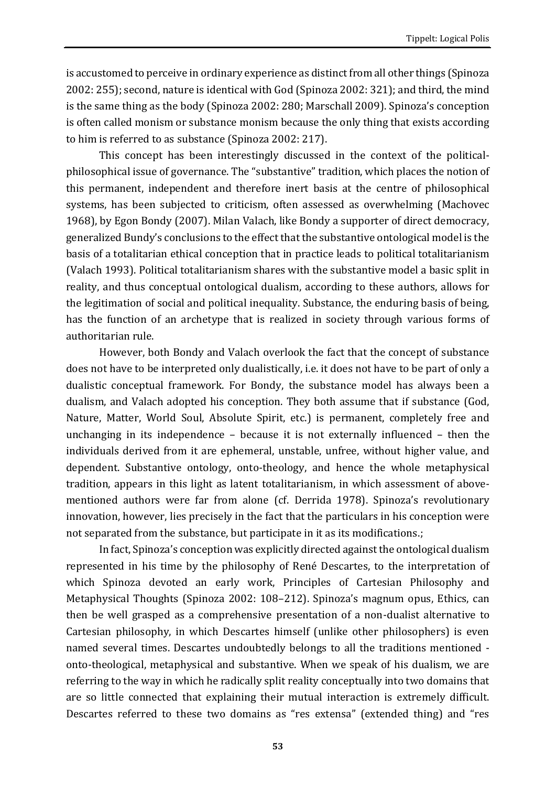is accustomed to perceive in ordinary experience as distinct from all other things (Spinoza 2002: 255); second, nature is identical with God (Spinoza 2002: 321); and third, the mind is the same thing as the body (Spinoza 2002: 280; Marschall 2009). Spinoza's conception is often called monism or substance monism because the only thing that exists according to him is referred to as substance (Spinoza 2002: 217).

This concept has been interestingly discussed in the context of the politicalphilosophical issue of governance. The "substantive" tradition, which places the notion of this permanent, independent and therefore inert basis at the centre of philosophical systems, has been subjected to criticism, often assessed as overwhelming (Machovec 1968), by Egon Bondy (2007). Milan Valach, like Bondy a supporter of direct democracy, generalized Bundy's conclusions to the effect that the substantive ontological model is the basis of a totalitarian ethical conception that in practice leads to political totalitarianism (Valach 1993). Political totalitarianism shares with the substantive model a basic split in reality, and thus conceptual ontological dualism, according to these authors, allows for the legitimation of social and political inequality. Substance, the enduring basis of being, has the function of an archetype that is realized in society through various forms of authoritarian rule.

However, both Bondy and Valach overlook the fact that the concept of substance does not have to be interpreted only dualistically, i.e. it does not have to be part of only a dualistic conceptual framework. For Bondy, the substance model has always been a dualism, and Valach adopted his conception. They both assume that if substance (God, Nature, Matter, World Soul, Absolute Spirit, etc.) is permanent, completely free and unchanging in its independence – because it is not externally influenced – then the individuals derived from it are ephemeral, unstable, unfree, without higher value, and dependent. Substantive ontology, onto-theology, and hence the whole metaphysical tradition, appears in this light as latent totalitarianism, in which assessment of abovementioned authors were far from alone (cf. Derrida 1978). Spinoza's revolutionary innovation, however, lies precisely in the fact that the particulars in his conception were not separated from the substance, but participate in it as its modifications.;

In fact, Spinoza's conception was explicitly directed against the ontological dualism represented in his time by the philosophy of René Descartes, to the interpretation of which Spinoza devoted an early work, Principles of Cartesian Philosophy and Metaphysical Thoughts (Spinoza 2002: 108–212). Spinoza's magnum opus, Ethics, can then be well grasped as a comprehensive presentation of a non-dualist alternative to Cartesian philosophy, in which Descartes himself (unlike other philosophers) is even named several times. Descartes undoubtedly belongs to all the traditions mentioned onto-theological, metaphysical and substantive. When we speak of his dualism, we are referring to the way in which he radically split reality conceptually into two domains that are so little connected that explaining their mutual interaction is extremely difficult. Descartes referred to these two domains as "res extensa" (extended thing) and "res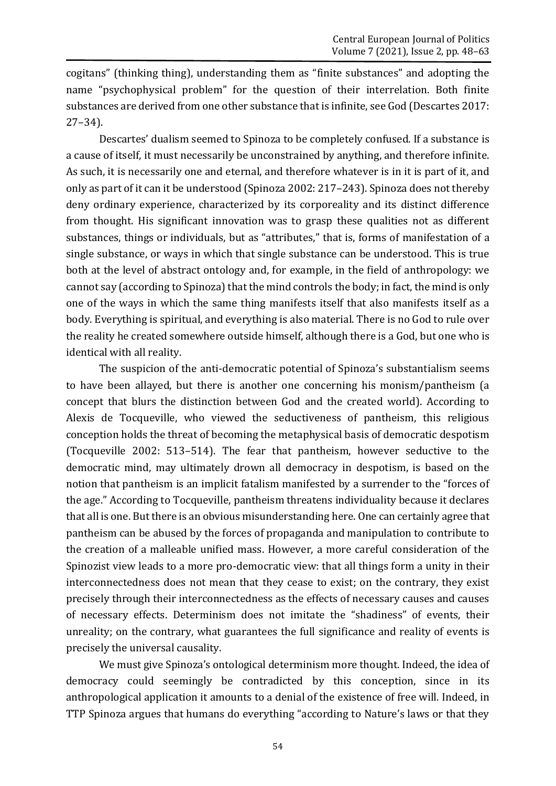cogitans" (thinking thing), understanding them as "finite substances" and adopting the name "psychophysical problem" for the question of their interrelation. Both finite substances are derived from one other substance that is infinite, see God (Descartes 2017: 27–34).

Descartes' dualism seemed to Spinoza to be completely confused. If a substance is a cause of itself, it must necessarily be unconstrained by anything, and therefore infinite. As such, it is necessarily one and eternal, and therefore whatever is in it is part of it, and only as part of it can it be understood (Spinoza 2002: 217–243). Spinoza does not thereby deny ordinary experience, characterized by its corporeality and its distinct difference from thought. His significant innovation was to grasp these qualities not as different substances, things or individuals, but as "attributes," that is, forms of manifestation of a single substance, or ways in which that single substance can be understood. This is true both at the level of abstract ontology and, for example, in the field of anthropology: we cannot say (according to Spinoza) that the mind controls the body; in fact, the mind is only one of the ways in which the same thing manifests itself that also manifests itself as a body. Everything is spiritual, and everything is also material. There is no God to rule over the reality he created somewhere outside himself, although there is a God, but one who is identical with all reality.

The suspicion of the anti-democratic potential of Spinoza's substantialism seems to have been allayed, but there is another one concerning his monism/pantheism (a concept that blurs the distinction between God and the created world). According to Alexis de Tocqueville, who viewed the seductiveness of pantheism, this religious conception holds the threat of becoming the metaphysical basis of democratic despotism (Tocqueville 2002: 513–514). The fear that pantheism, however seductive to the democratic mind, may ultimately drown all democracy in despotism, is based on the notion that pantheism is an implicit fatalism manifested by a surrender to the "forces of the age." According to Tocqueville, pantheism threatens individuality because it declares that all is one. But there is an obvious misunderstanding here. One can certainly agree that pantheism can be abused by the forces of propaganda and manipulation to contribute to the creation of a malleable unified mass. However, a more careful consideration of the Spinozist view leads to a more pro-democratic view: that all things form a unity in their interconnectedness does not mean that they cease to exist; on the contrary, they exist precisely through their interconnectedness as the effects of necessary causes and causes of necessary effects. Determinism does not imitate the "shadiness" of events, their unreality; on the contrary, what guarantees the full significance and reality of events is precisely the universal causality.

We must give Spinoza's ontological determinism more thought. Indeed, the idea of democracy could seemingly be contradicted by this conception, since in its anthropological application it amounts to a denial of the existence of free will. Indeed, in TTP Spinoza argues that humans do everything "according to Nature's laws or that they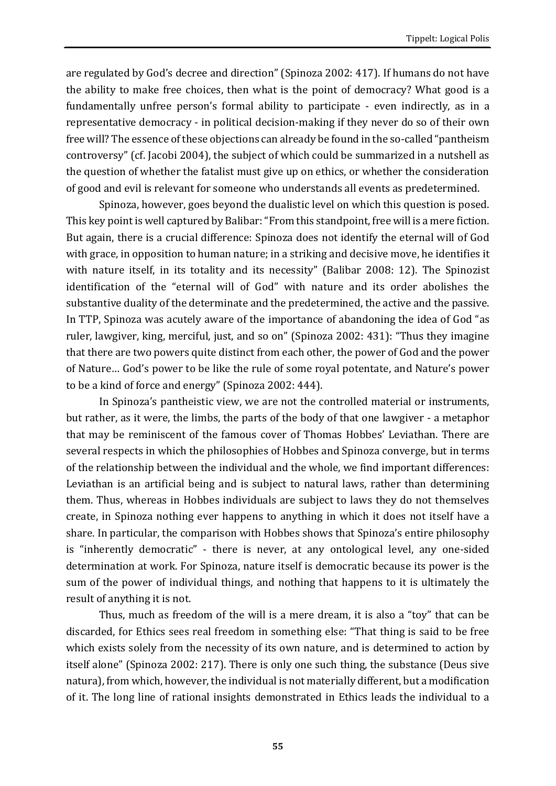are regulated by God's decree and direction" (Spinoza 2002: 417). If humans do not have the ability to make free choices, then what is the point of democracy? What good is a fundamentally unfree person's formal ability to participate - even indirectly, as in a representative democracy - in political decision-making if they never do so of their own free will? The essence of these objections can already be found in the so-called "pantheism controversy" (cf. Jacobi 2004), the subject of which could be summarized in a nutshell as the question of whether the fatalist must give up on ethics, or whether the consideration of good and evil is relevant for someone who understands all events as predetermined.

Spinoza, however, goes beyond the dualistic level on which this question is posed. This key point is well captured by Balibar: "From this standpoint, free will is a mere fiction. But again, there is a crucial difference: Spinoza does not identify the eternal will of God with grace, in opposition to human nature; in a striking and decisive move, he identifies it with nature itself, in its totality and its necessity" (Balibar 2008: 12). The Spinozist identification of the "eternal will of God" with nature and its order abolishes the substantive duality of the determinate and the predetermined, the active and the passive. In TTP, Spinoza was acutely aware of the importance of abandoning the idea of God "as ruler, lawgiver, king, merciful, just, and so on" (Spinoza 2002: 431): "Thus they imagine that there are two powers quite distinct from each other, the power of God and the power of Nature… God's power to be like the rule of some royal potentate, and Nature's power to be a kind of force and energy" (Spinoza 2002: 444).

In Spinoza's pantheistic view, we are not the controlled material or instruments, but rather, as it were, the limbs, the parts of the body of that one lawgiver - a metaphor that may be reminiscent of the famous cover of Thomas Hobbes' Leviathan. There are several respects in which the philosophies of Hobbes and Spinoza converge, but in terms of the relationship between the individual and the whole, we find important differences: Leviathan is an artificial being and is subject to natural laws, rather than determining them. Thus, whereas in Hobbes individuals are subject to laws they do not themselves create, in Spinoza nothing ever happens to anything in which it does not itself have a share. In particular, the comparison with Hobbes shows that Spinoza's entire philosophy is "inherently democratic" - there is never, at any ontological level, any one-sided determination at work. For Spinoza, nature itself is democratic because its power is the sum of the power of individual things, and nothing that happens to it is ultimately the result of anything it is not.

Thus, much as freedom of the will is a mere dream, it is also a "toy" that can be discarded, for Ethics sees real freedom in something else: "That thing is said to be free which exists solely from the necessity of its own nature, and is determined to action by itself alone" (Spinoza 2002: 217). There is only one such thing, the substance (Deus sive natura), from which, however, the individual is not materially different, but a modification of it. The long line of rational insights demonstrated in Ethics leads the individual to a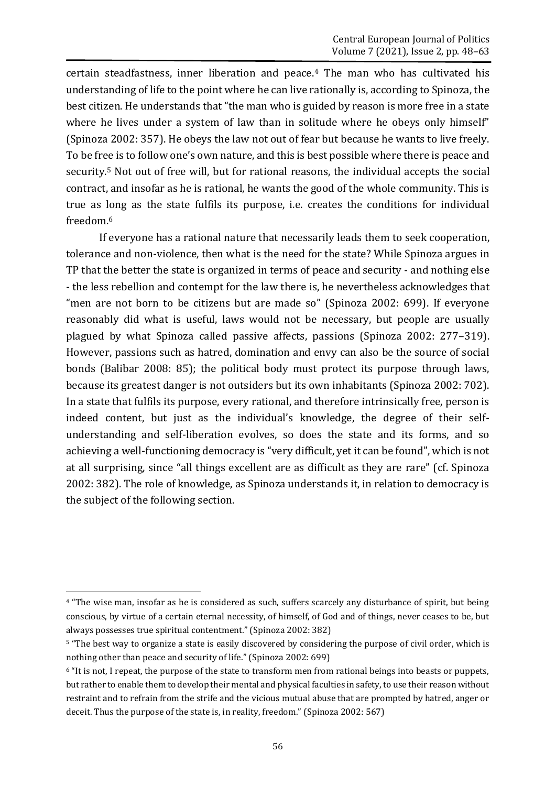certain steadfastness, inner liberation and peace.<sup>4</sup> The man who has cultivated his understanding of life to the point where he can live rationally is, according to Spinoza, the best citizen. He understands that "the man who is guided by reason is more free in a state where he lives under a system of law than in solitude where he obeys only himself" (Spinoza 2002: 357). He obeys the law not out of fear but because he wants to live freely. To be free is to follow one's own nature, and this is best possible where there is peace and security.<sup>5</sup> Not out of free will, but for rational reasons, the individual accepts the social contract, and insofar as he is rational, he wants the good of the whole community. This is true as long as the state fulfils its purpose, i.e. creates the conditions for individual freedom.<sup>6</sup>

If everyone has a rational nature that necessarily leads them to seek cooperation, tolerance and non-violence, then what is the need for the state? While Spinoza argues in TP that the better the state is organized in terms of peace and security - and nothing else - the less rebellion and contempt for the law there is, he nevertheless acknowledges that "men are not born to be citizens but are made so" (Spinoza 2002: 699). If everyone reasonably did what is useful, laws would not be necessary, but people are usually plagued by what Spinoza called passive affects, passions (Spinoza 2002: 277–319). However, passions such as hatred, domination and envy can also be the source of social bonds (Balibar 2008: 85); the political body must protect its purpose through laws, because its greatest danger is not outsiders but its own inhabitants (Spinoza 2002: 702). In a state that fulfils its purpose, every rational, and therefore intrinsically free, person is indeed content, but just as the individual's knowledge, the degree of their selfunderstanding and self-liberation evolves, so does the state and its forms, and so achieving a well-functioning democracy is "very difficult, yet it can be found", which is not at all surprising, since "all things excellent are as difficult as they are rare" (cf. Spinoza 2002: 382). The role of knowledge, as Spinoza understands it, in relation to democracy is the subject of the following section.

<sup>4</sup> "The wise man, insofar as he is considered as such, suffers scarcely any disturbance of spirit, but being conscious, by virtue of a certain eternal necessity, of himself, of God and of things, never ceases to be, but always possesses true spiritual contentment." (Spinoza 2002: 382)

<sup>5</sup> "The best way to organize a state is easily discovered by considering the purpose of civil order, which is nothing other than peace and security of life." (Spinoza 2002: 699)

<sup>6</sup> "It is not, I repeat, the purpose of the state to transform men from rational beings into beasts or puppets, but rather to enable them to develop their mental and physical faculties in safety, to use their reason without restraint and to refrain from the strife and the vicious mutual abuse that are prompted by hatred, anger or deceit. Thus the purpose of the state is, in reality, freedom." (Spinoza 2002: 567)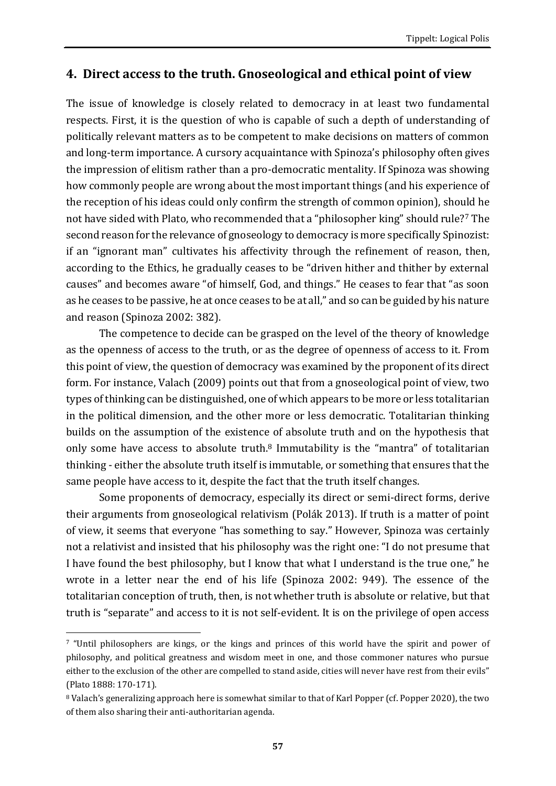### **4. Direct access to the truth. Gnoseological and ethical point of view**

The issue of knowledge is closely related to democracy in at least two fundamental respects. First, it is the question of who is capable of such a depth of understanding of politically relevant matters as to be competent to make decisions on matters of common and long-term importance. A cursory acquaintance with Spinoza's philosophy often gives the impression of elitism rather than a pro-democratic mentality. If Spinoza was showing how commonly people are wrong about the most important things (and his experience of the reception of his ideas could only confirm the strength of common opinion), should he not have sided with Plato, who recommended that a "philosopher king" should rule?<sup>7</sup> The second reason for the relevance of gnoseology to democracy is more specifically Spinozist: if an "ignorant man" cultivates his affectivity through the refinement of reason, then, according to the Ethics, he gradually ceases to be "driven hither and thither by external causes" and becomes aware "of himself, God, and things." He ceases to fear that "as soon as he ceases to be passive, he at once ceases to be at all," and so can be guided by his nature and reason (Spinoza 2002: 382).

The competence to decide can be grasped on the level of the theory of knowledge as the openness of access to the truth, or as the degree of openness of access to it. From this point of view, the question of democracy was examined by the proponent of its direct form. For instance, Valach (2009) points out that from a gnoseological point of view, two types of thinking can be distinguished, one of which appears to be more or less totalitarian in the political dimension, and the other more or less democratic. Totalitarian thinking builds on the assumption of the existence of absolute truth and on the hypothesis that only some have access to absolute truth.<sup>8</sup> Immutability is the "mantra" of totalitarian thinking - either the absolute truth itself is immutable, or something that ensures that the same people have access to it, despite the fact that the truth itself changes.

Some proponents of democracy, especially its direct or semi-direct forms, derive their arguments from gnoseological relativism (Polák 2013). If truth is a matter of point of view, it seems that everyone "has something to say." However, Spinoza was certainly not a relativist and insisted that his philosophy was the right one: "I do not presume that I have found the best philosophy, but I know that what I understand is the true one," he wrote in a letter near the end of his life (Spinoza 2002: 949). The essence of the totalitarian conception of truth, then, is not whether truth is absolute or relative, but that truth is "separate" and access to it is not self-evident. It is on the privilege of open access

<sup>7</sup> "Until philosophers are kings, or the kings and princes of this world have the spirit and power of philosophy, and political greatness and wisdom meet in one, and those commoner natures who pursue either to the exclusion of the other are compelled to stand aside, cities will never have rest from their evils" (Plato 1888: 170-171).

<sup>8</sup> Valach's generalizing approach here is somewhat similar to that of Karl Popper (cf. Popper 2020), the two of them also sharing their anti-authoritarian agenda.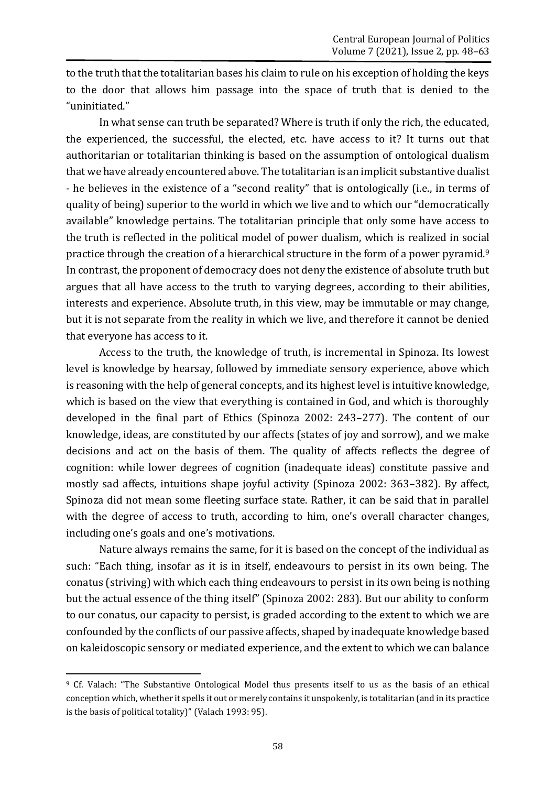to the truth that the totalitarian bases his claim to rule on his exception of holding the keys to the door that allows him passage into the space of truth that is denied to the "uninitiated."

In what sense can truth be separated? Where is truth if only the rich, the educated, the experienced, the successful, the elected, etc. have access to it? It turns out that authoritarian or totalitarian thinking is based on the assumption of ontological dualism that we have already encountered above. The totalitarian is an implicit substantive dualist - he believes in the existence of a "second reality" that is ontologically (i.e., in terms of quality of being) superior to the world in which we live and to which our "democratically available" knowledge pertains. The totalitarian principle that only some have access to the truth is reflected in the political model of power dualism, which is realized in social practice through the creation of a hierarchical structure in the form of a power pyramid.<sup>9</sup> In contrast, the proponent of democracy does not deny the existence of absolute truth but argues that all have access to the truth to varying degrees, according to their abilities, interests and experience. Absolute truth, in this view, may be immutable or may change, but it is not separate from the reality in which we live, and therefore it cannot be denied that everyone has access to it.

Access to the truth, the knowledge of truth, is incremental in Spinoza. Its lowest level is knowledge by hearsay, followed by immediate sensory experience, above which is reasoning with the help of general concepts, and its highest level is intuitive knowledge, which is based on the view that everything is contained in God, and which is thoroughly developed in the final part of Ethics (Spinoza 2002: 243–277). The content of our knowledge, ideas, are constituted by our affects (states of joy and sorrow), and we make decisions and act on the basis of them. The quality of affects reflects the degree of cognition: while lower degrees of cognition (inadequate ideas) constitute passive and mostly sad affects, intuitions shape joyful activity (Spinoza 2002: 363–382). By affect, Spinoza did not mean some fleeting surface state. Rather, it can be said that in parallel with the degree of access to truth, according to him, one's overall character changes, including one's goals and one's motivations.

Nature always remains the same, for it is based on the concept of the individual as such: "Each thing, insofar as it is in itself, endeavours to persist in its own being. The conatus (striving) with which each thing endeavours to persist in its own being is nothing but the actual essence of the thing itself" (Spinoza 2002: 283). But our ability to conform to our conatus, our capacity to persist, is graded according to the extent to which we are confounded by the conflicts of our passive affects, shaped by inadequate knowledge based on kaleidoscopic sensory or mediated experience, and the extent to which we can balance

**<sup>.</sup>** <sup>9</sup> Cf. Valach: "The Substantive Ontological Model thus presents itself to us as the basis of an ethical conception which, whether it spells it out or merely contains it unspokenly, is totalitarian (and in its practice is the basis of political totality)" (Valach 1993: 95).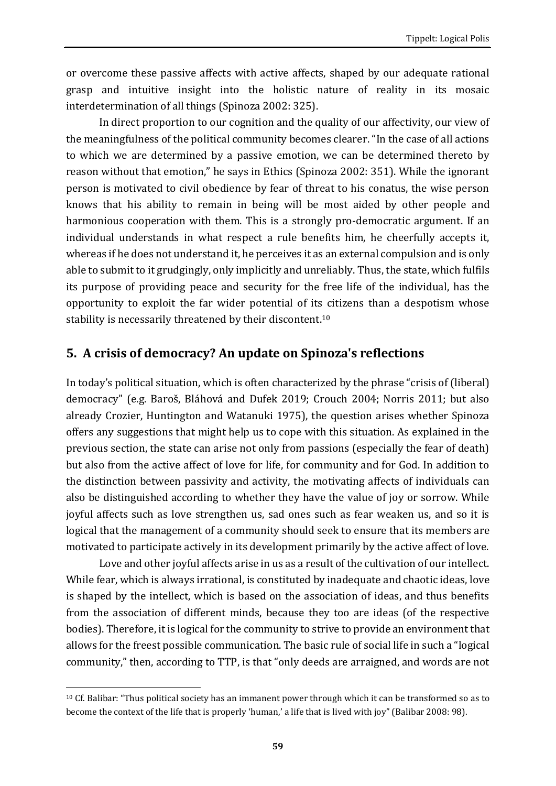or overcome these passive affects with active affects, shaped by our adequate rational grasp and intuitive insight into the holistic nature of reality in its mosaic interdetermination of all things (Spinoza 2002: 325).

In direct proportion to our cognition and the quality of our affectivity, our view of the meaningfulness of the political community becomes clearer. "In the case of all actions to which we are determined by a passive emotion, we can be determined thereto by reason without that emotion," he says in Ethics (Spinoza 2002: 351). While the ignorant person is motivated to civil obedience by fear of threat to his conatus, the wise person knows that his ability to remain in being will be most aided by other people and harmonious cooperation with them. This is a strongly pro-democratic argument. If an individual understands in what respect a rule benefits him, he cheerfully accepts it, whereas if he does not understand it, he perceives it as an external compulsion and is only able to submit to it grudgingly, only implicitly and unreliably. Thus, the state, which fulfils its purpose of providing peace and security for the free life of the individual, has the opportunity to exploit the far wider potential of its citizens than a despotism whose stability is necessarily threatened by their discontent.<sup>10</sup>

## **5. A crisis of democracy? An update on Spinoza's reflections**

In today's political situation, which is often characterized by the phrase "crisis of (liberal) democracy" (e.g. Baroš, Bláhová and Dufek 2019; Crouch 2004; Norris 2011; but also already Crozier, Huntington and Watanuki 1975), the question arises whether Spinoza offers any suggestions that might help us to cope with this situation. As explained in the previous section, the state can arise not only from passions (especially the fear of death) but also from the active affect of love for life, for community and for God. In addition to the distinction between passivity and activity, the motivating affects of individuals can also be distinguished according to whether they have the value of joy or sorrow. While joyful affects such as love strengthen us, sad ones such as fear weaken us, and so it is logical that the management of a community should seek to ensure that its members are motivated to participate actively in its development primarily by the active affect of love.

Love and other joyful affects arise in us as a result of the cultivation of our intellect. While fear, which is always irrational, is constituted by inadequate and chaotic ideas, love is shaped by the intellect, which is based on the association of ideas, and thus benefits from the association of different minds, because they too are ideas (of the respective bodies). Therefore, it is logical for the community to strive to provide an environment that allows for the freest possible communication. The basic rule of social life in such a "logical community," then, according to TTP, is that "only deeds are arraigned, and words are not

**<sup>.</sup>** <sup>10</sup> Cf. Balibar: "Thus political society has an immanent power through which it can be transformed so as to become the context of the life that is properly 'human,' a life that is lived with joy" (Balibar 2008: 98).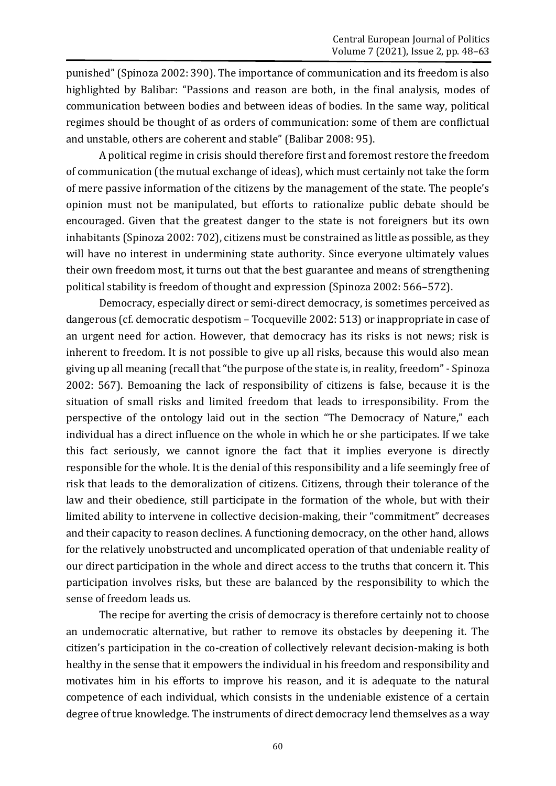punished" (Spinoza 2002: 390). The importance of communication and its freedom is also highlighted by Balibar: "Passions and reason are both, in the final analysis, modes of communication between bodies and between ideas of bodies. In the same way, political regimes should be thought of as orders of communication: some of them are conflictual and unstable, others are coherent and stable" (Balibar 2008: 95).

A political regime in crisis should therefore first and foremost restore the freedom of communication (the mutual exchange of ideas), which must certainly not take the form of mere passive information of the citizens by the management of the state. The people's opinion must not be manipulated, but efforts to rationalize public debate should be encouraged. Given that the greatest danger to the state is not foreigners but its own inhabitants (Spinoza 2002: 702), citizens must be constrained as little as possible, as they will have no interest in undermining state authority. Since everyone ultimately values their own freedom most, it turns out that the best guarantee and means of strengthening political stability is freedom of thought and expression (Spinoza 2002: 566–572).

Democracy, especially direct or semi-direct democracy, is sometimes perceived as dangerous (cf. democratic despotism – Tocqueville 2002: 513) or inappropriate in case of an urgent need for action. However, that democracy has its risks is not news; risk is inherent to freedom. It is not possible to give up all risks, because this would also mean giving up all meaning (recall that "the purpose of the state is, in reality, freedom" -Spinoza 2002: 567). Bemoaning the lack of responsibility of citizens is false, because it is the situation of small risks and limited freedom that leads to irresponsibility. From the perspective of the ontology laid out in the section "The Democracy of Nature," each individual has a direct influence on the whole in which he or she participates. If we take this fact seriously, we cannot ignore the fact that it implies everyone is directly responsible for the whole. It is the denial of this responsibility and a life seemingly free of risk that leads to the demoralization of citizens. Citizens, through their tolerance of the law and their obedience, still participate in the formation of the whole, but with their limited ability to intervene in collective decision-making, their "commitment" decreases and their capacity to reason declines. A functioning democracy, on the other hand, allows for the relatively unobstructed and uncomplicated operation of that undeniable reality of our direct participation in the whole and direct access to the truths that concern it. This participation involves risks, but these are balanced by the responsibility to which the sense of freedom leads us.

The recipe for averting the crisis of democracy is therefore certainly not to choose an undemocratic alternative, but rather to remove its obstacles by deepening it. The citizen's participation in the co-creation of collectively relevant decision-making is both healthy in the sense that it empowers the individual in his freedom and responsibility and motivates him in his efforts to improve his reason, and it is adequate to the natural competence of each individual, which consists in the undeniable existence of a certain degree of true knowledge. The instruments of direct democracy lend themselves as a way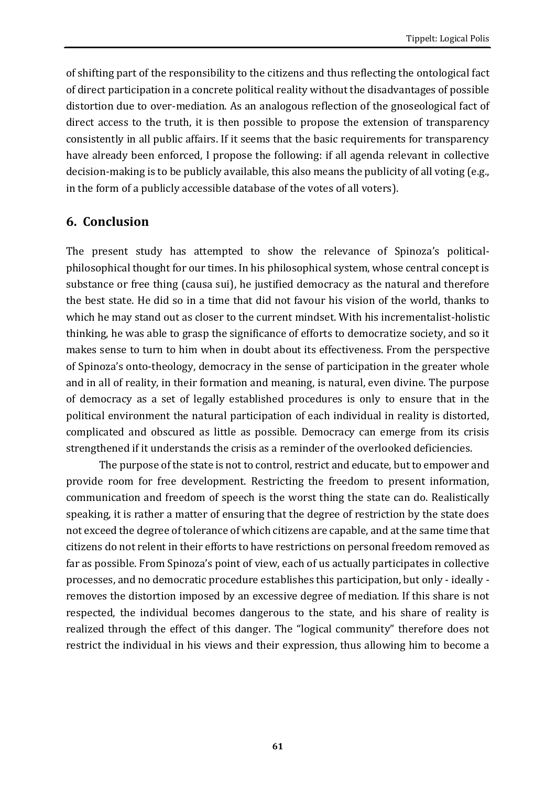of shifting part of the responsibility to the citizens and thus reflecting the ontological fact of direct participation in a concrete political reality without the disadvantages of possible distortion due to over-mediation. As an analogous reflection of the gnoseological fact of direct access to the truth, it is then possible to propose the extension of transparency consistently in all public affairs. If it seems that the basic requirements for transparency have already been enforced, I propose the following: if all agenda relevant in collective decision-making is to be publicly available, this also means the publicity of all voting (e.g., in the form of a publicly accessible database of the votes of all voters).

#### **6. Conclusion**

The present study has attempted to show the relevance of Spinoza's politicalphilosophical thought for our times. In his philosophical system, whose central concept is substance or free thing (causa sui), he justified democracy as the natural and therefore the best state. He did so in a time that did not favour his vision of the world, thanks to which he may stand out as closer to the current mindset. With his incrementalist-holistic thinking, he was able to grasp the significance of efforts to democratize society, and so it makes sense to turn to him when in doubt about its effectiveness. From the perspective of Spinoza's onto-theology, democracy in the sense of participation in the greater whole and in all of reality, in their formation and meaning, is natural, even divine. The purpose of democracy as a set of legally established procedures is only to ensure that in the political environment the natural participation of each individual in reality is distorted, complicated and obscured as little as possible. Democracy can emerge from its crisis strengthened if it understands the crisis as a reminder of the overlooked deficiencies.

The purpose of the state is not to control, restrict and educate, but to empower and provide room for free development. Restricting the freedom to present information, communication and freedom of speech is the worst thing the state can do. Realistically speaking, it is rather a matter of ensuring that the degree of restriction by the state does not exceed the degree of tolerance of which citizens are capable, and at the same time that citizens do not relent in their efforts to have restrictions on personal freedom removed as far as possible. From Spinoza's point of view, each of us actually participates in collective processes, and no democratic procedure establishes this participation, but only - ideally removes the distortion imposed by an excessive degree of mediation. If this share is not respected, the individual becomes dangerous to the state, and his share of reality is realized through the effect of this danger. The "logical community" therefore does not restrict the individual in his views and their expression, thus allowing him to become a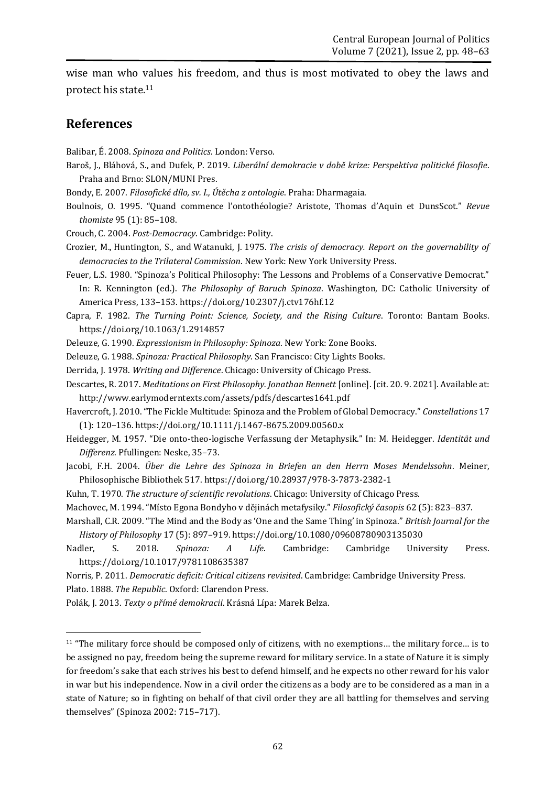wise man who values his freedom, and thus is most motivated to obey the laws and protect his state.<sup>11</sup>

#### **References**

Balibar, É. 2008. *Spinoza and Politics*. London: Verso.

- Baroš, J., Bláhová, S., and Dufek, P. 2019. *Liberální demokracie v době krize: Perspektiva politické filosofie*. Praha and Brno: SLON/MUNI Pres.
- Bondy, E. 2007. *Filosofické dílo, sv. I., Útěcha z ontologie*. Praha: Dharmagaia.
- Boulnois, O. 1995. "Quand commence l'ontothéologie? Aristote, Thomas d'Aquin et DunsScot." *Revue thomiste* 95 (1): 85–108.
- Crouch, C. 2004. *Post-Democracy*. Cambridge: Polity.
- Crozier, M., Huntington, S., and Watanuki, J. 1975. *The crisis of democracy. Report on the governability of democracies to the Trilateral Commission*. New York: New York University Press.
- Feuer, L.S. 1980. "Spinoza's Political Philosophy: The Lessons and Problems of a Conservative Democrat." In: R. Kennington (ed.). *The Philosophy of Baruch Spinoza*. Washington, DC: Catholic University of America Press, 133–153. <https://doi.org/10.2307/j.ctv176hf.12>
- Capra, F. 1982. *The Turning Point: Science, Society, and the Rising Culture*. Toronto: Bantam Books. <https://doi.org/10.1063/1.2914857>
- Deleuze, G. 1990. *Expressionism in Philosophy: Spinoza*. New York: Zone Books.
- Deleuze, G. 1988. *Spinoza: Practical Philosophy*. San Francisco: City Lights Books.
- Derrida, J. 1978. *Writing and Difference*. Chicago: University of Chicago Press.
- Descartes, R. 2017. *Meditations on First Philosophy. Jonathan Bennett* [online]. [cit. 20. 9. 2021]. Available at: http://www.earlymoderntexts.com/assets/pdfs/descartes1641.pdf
- Havercroft, J. 2010. "The Fickle Multitude: Spinoza and the Problem of Global Democracy." *Constellations* 17 (1): 120–136. <https://doi.org/10.1111/j.1467-8675.2009.00560.x>
- Heidegger, M. 1957. "Die onto-theo-logische Verfassung der Metaphysik." In: M. Heidegger. *Identität und Differenz*. Pfullingen: Neske, 35–73.
- Jacobi, F.H. 2004. *Über die Lehre des Spinoza in Briefen an den Herrn Moses Mendelssohn*. Meiner, Philosophische Bibliothek 517. <https://doi.org/10.28937/978-3-7873-2382-1>
- Kuhn, T. 1970. *The structure of scientific revolutions*. Chicago: University of Chicago Press.
- Machovec, M. 1994. "Místo Egona Bondyho v dějinách metafysiky." *Filosofický časopis* 62 (5): 823–837.
- Marshall, C.R. 2009. "The Mind and the Body as 'One and the Same Thing' in Spinoza." *British Journal for the History of Philosophy* 17 (5): 897–919. <https://doi.org/10.1080/09608780903135030>
- Nadler, S. 2018. *Spinoza: A Life*. Cambridge: Cambridge University Press. <https://doi.org/10.1017/9781108635387>
- Norris, P. 2011. *Democratic deficit: Critical citizens revisited*. Cambridge: Cambridge University Press.

Plato. 1888. *The Republic*. Oxford: Clarendon Press.

Polák, J. 2013. *Texty o přímé demokracii*. Krásná Lípa: Marek Belza.

<sup>11</sup> "The military force should be composed only of citizens, with no exemptions… the military force… is to be assigned no pay, freedom being the supreme reward for military service. In a state of Nature it is simply for freedom's sake that each strives his best to defend himself, and he expects no other reward for his valor in war but his independence. Now in a civil order the citizens as a body are to be considered as a man in a state of Nature; so in fighting on behalf of that civil order they are all battling for themselves and serving themselves" (Spinoza 2002: 715–717).